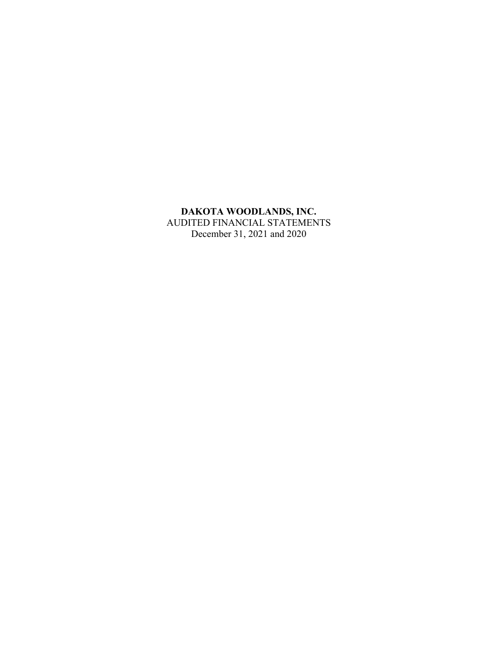## **DAKOTA WOODLANDS, INC.**  AUDITED FINANCIAL STATEMENTS December 31, 2021 and 2020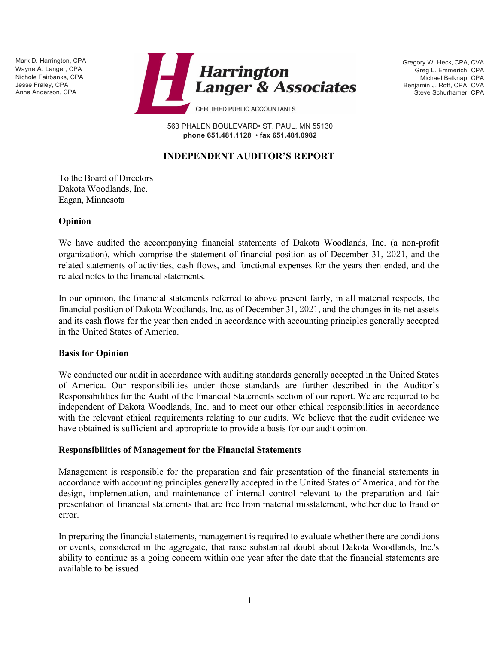Mark D. Harrington, CPA Wayne A. Langer, CPA Nichole Fairbanks, CPA Jesse Fraley, CPA Anna Anderson, CPA



Gregory W. Heck, CPA, CVA Greg L. Emmerich, CPA Michael Belknap, CPA Benjamin J. Roff, CPA, CVA Steve Schurhamer, CPA

563 PHALEN BOULEVARD• ST. PAUL, MN 55130 **phone 651.481.1128** • **fax 651.481.0982**

# **INDEPENDENT AUDITOR'S REPORT**

To the Board of Directors Dakota Woodlands, Inc. Eagan, Minnesota

## **Opinion**

We have audited the accompanying financial statements of Dakota Woodlands, Inc. (a non-profit organization), which comprise the statement of financial position as of December 31, 2021, and the related statements of activities, cash flows, and functional expenses for the years then ended, and the related notes to the financial statements.

In our opinion, the financial statements referred to above present fairly, in all material respects, the financial position of Dakota Woodlands, Inc. as of December 31, 2021, and the changes in its net assets and its cash flows for the year then ended in accordance with accounting principles generally accepted in the United States of America.

## **Basis for Opinion**

We conducted our audit in accordance with auditing standards generally accepted in the United States of America. Our responsibilities under those standards are further described in the Auditor's Responsibilities for the Audit of the Financial Statements section of our report. We are required to be independent of Dakota Woodlands, Inc. and to meet our other ethical responsibilities in accordance with the relevant ethical requirements relating to our audits. We believe that the audit evidence we have obtained is sufficient and appropriate to provide a basis for our audit opinion.

## **Responsibilities of Management for the Financial Statements**

Management is responsible for the preparation and fair presentation of the financial statements in accordance with accounting principles generally accepted in the United States of America, and for the design, implementation, and maintenance of internal control relevant to the preparation and fair presentation of financial statements that are free from material misstatement, whether due to fraud or error.

In preparing the financial statements, management is required to evaluate whether there are conditions or events, considered in the aggregate, that raise substantial doubt about Dakota Woodlands, Inc.'s ability to continue as a going concern within one year after the date that the financial statements are available to be issued.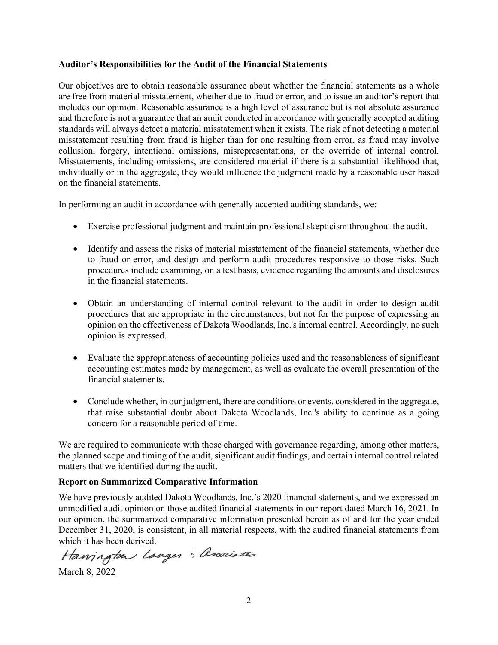#### **Auditor's Responsibilities for the Audit of the Financial Statements**

Our objectives are to obtain reasonable assurance about whether the financial statements as a whole are free from material misstatement, whether due to fraud or error, and to issue an auditor's report that includes our opinion. Reasonable assurance is a high level of assurance but is not absolute assurance and therefore is not a guarantee that an audit conducted in accordance with generally accepted auditing standards will always detect a material misstatement when it exists. The risk of not detecting a material misstatement resulting from fraud is higher than for one resulting from error, as fraud may involve collusion, forgery, intentional omissions, misrepresentations, or the override of internal control. Misstatements, including omissions, are considered material if there is a substantial likelihood that, individually or in the aggregate, they would influence the judgment made by a reasonable user based on the financial statements.

In performing an audit in accordance with generally accepted auditing standards, we:

- Exercise professional judgment and maintain professional skepticism throughout the audit.
- Identify and assess the risks of material misstatement of the financial statements, whether due to fraud or error, and design and perform audit procedures responsive to those risks. Such procedures include examining, on a test basis, evidence regarding the amounts and disclosures in the financial statements.
- Obtain an understanding of internal control relevant to the audit in order to design audit procedures that are appropriate in the circumstances, but not for the purpose of expressing an opinion on the effectiveness of Dakota Woodlands, Inc.'s internal control. Accordingly, no such opinion is expressed.
- Evaluate the appropriateness of accounting policies used and the reasonableness of significant accounting estimates made by management, as well as evaluate the overall presentation of the financial statements.
- Conclude whether, in our judgment, there are conditions or events, considered in the aggregate, that raise substantial doubt about Dakota Woodlands, Inc.'s ability to continue as a going concern for a reasonable period of time.

We are required to communicate with those charged with governance regarding, among other matters, the planned scope and timing of the audit, significant audit findings, and certain internal control related matters that we identified during the audit.

## **Report on Summarized Comparative Information**

We have previously audited Dakota Woodlands, Inc.'s 2020 financial statements, and we expressed an unmodified audit opinion on those audited financial statements in our report dated March 16, 2021. In our opinion, the summarized comparative information presented herein as of and for the year ended December 31, 2020, is consistent, in all material respects, with the audited financial statements from

which it has been derived.<br>Hawing to langer : Assistantes

March 8, 2022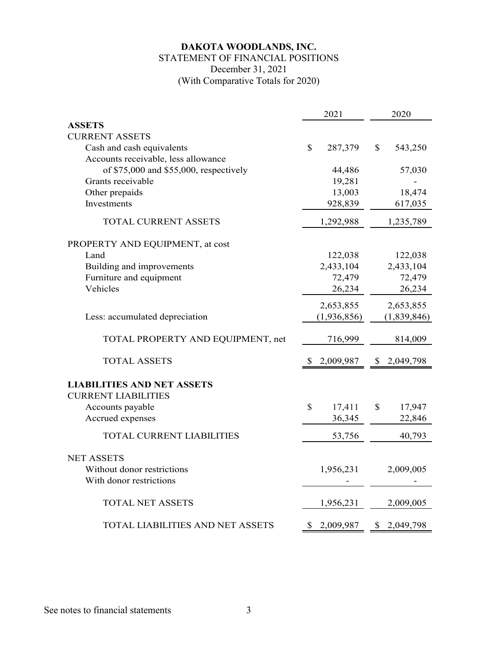## **DAKOTA WOODLANDS, INC.**  STATEMENT OF FINANCIAL POSITIONS December 31, 2021 (With Comparative Totals for 2020)

|                                           |              | 2021        |              | 2020        |
|-------------------------------------------|--------------|-------------|--------------|-------------|
| <b>ASSETS</b>                             |              |             |              |             |
| <b>CURRENT ASSETS</b>                     |              |             |              |             |
| Cash and cash equivalents                 | $\mathbb{S}$ | 287,379     | \$           | 543,250     |
| Accounts receivable, less allowance       |              |             |              |             |
| of $$75,000$ and $$55,000$ , respectively |              | 44,486      |              | 57,030      |
| Grants receivable                         |              | 19,281      |              |             |
| Other prepaids                            |              | 13,003      |              | 18,474      |
| Investments                               |              | 928,839     |              | 617,035     |
| <b>TOTAL CURRENT ASSETS</b>               |              | 1,292,988   |              | 1,235,789   |
| PROPERTY AND EQUIPMENT, at cost           |              |             |              |             |
| Land                                      |              | 122,038     |              | 122,038     |
| Building and improvements                 |              | 2,433,104   |              | 2,433,104   |
| Furniture and equipment                   |              | 72,479      |              | 72,479      |
| Vehicles                                  |              | 26,234      |              | 26,234      |
|                                           |              | 2,653,855   |              | 2,653,855   |
| Less: accumulated depreciation            |              | (1,936,856) |              | (1,839,846) |
| TOTAL PROPERTY AND EQUIPMENT, net         |              | 716,999     |              | 814,009     |
|                                           |              |             |              |             |
| <b>TOTAL ASSETS</b>                       | S            | 2,009,987   | \$           | 2,049,798   |
| <b>LIABILITIES AND NET ASSETS</b>         |              |             |              |             |
| <b>CURRENT LIABILITIES</b>                |              |             |              |             |
| Accounts payable                          | $\mathbb{S}$ | 17,411      | $\mathbb{S}$ | 17,947      |
| Accrued expenses                          |              | 36,345      |              | 22,846      |
| <b>TOTAL CURRENT LIABILITIES</b>          |              | 53,756      |              | 40,793      |
| <b>NET ASSETS</b>                         |              |             |              |             |
| Without donor restrictions                |              | 1,956,231   |              | 2,009,005   |
| With donor restrictions                   |              |             |              |             |
|                                           |              |             |              |             |
| <b>TOTAL NET ASSETS</b>                   |              | 1,956,231   |              | 2,009,005   |
| TOTAL LIABILITIES AND NET ASSETS          | \$           | 2,009,987   | \$           | 2,049,798   |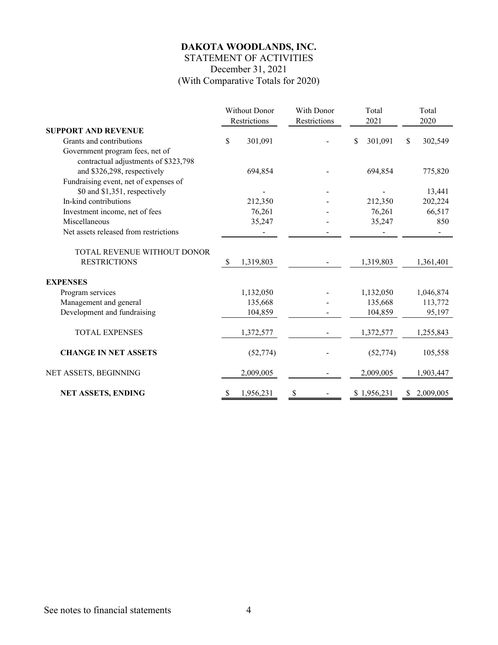# **DAKOTA WOODLANDS, INC.**

# STATEMENT OF ACTIVITIES

December 31, 2021

(With Comparative Totals for 2020)

|                                                                         |                           | <b>Without Donor</b><br>Restrictions | With Donor<br>Restrictions | Total<br>2021 | Total<br>2020 |
|-------------------------------------------------------------------------|---------------------------|--------------------------------------|----------------------------|---------------|---------------|
| <b>SUPPORT AND REVENUE</b>                                              |                           |                                      |                            |               |               |
| Grants and contributions                                                | \$                        | 301,091                              |                            | \$<br>301,091 | \$<br>302,549 |
| Government program fees, net of<br>contractual adjustments of \$323,798 |                           |                                      |                            |               |               |
| and \$326,298, respectively                                             |                           | 694,854                              |                            | 694,854       | 775,820       |
| Fundraising event, net of expenses of                                   |                           |                                      |                            |               |               |
| \$0 and \$1,351, respectively                                           |                           |                                      |                            |               | 13,441        |
| In-kind contributions                                                   |                           | 212,350                              |                            | 212,350       | 202,224       |
| Investment income, net of fees                                          |                           | 76,261                               |                            | 76,261        | 66,517        |
| Miscellaneous                                                           |                           | 35,247                               |                            | 35,247        | 850           |
| Net assets released from restrictions                                   |                           |                                      |                            |               |               |
| TOTAL REVENUE WITHOUT DONOR                                             |                           |                                      |                            |               |               |
| <b>RESTRICTIONS</b>                                                     | $\boldsymbol{\mathsf{S}}$ | 1,319,803                            |                            | 1,319,803     | 1,361,401     |
| <b>EXPENSES</b>                                                         |                           |                                      |                            |               |               |
| Program services                                                        |                           | 1,132,050                            |                            | 1,132,050     | 1,046,874     |
| Management and general                                                  |                           | 135,668                              |                            | 135,668       | 113,772       |
| Development and fundraising                                             |                           | 104,859                              |                            | 104,859       | 95,197        |
| <b>TOTAL EXPENSES</b>                                                   |                           | 1,372,577                            |                            | 1,372,577     | 1,255,843     |
| <b>CHANGE IN NET ASSETS</b>                                             |                           | (52, 774)                            |                            | (52, 774)     | 105,558       |
| NET ASSETS, BEGINNING                                                   |                           | 2,009,005                            |                            | 2,009,005     | 1,903,447     |
| <b>NET ASSETS, ENDING</b>                                               | \$                        | 1,956,231                            | \$                         | \$1,956,231   | \$2,009,005   |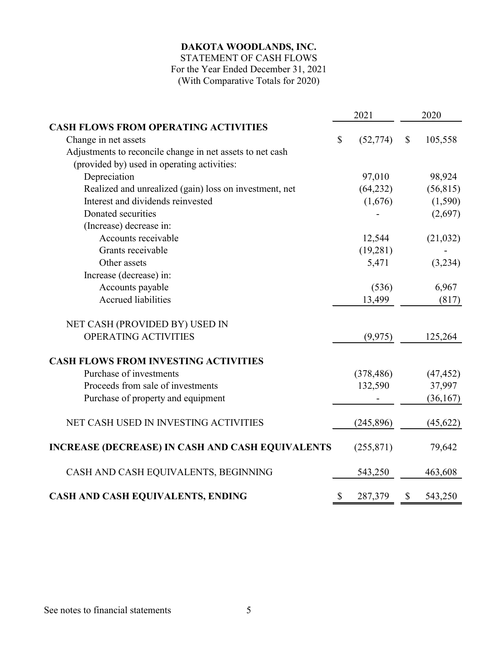# **DAKOTA WOODLANDS, INC.**

## STATEMENT OF CASH FLOWS For the Year Ended December 31, 2021 (With Comparative Totals for 2020)

|                                                           | 2021 |            | 2020         |           |  |
|-----------------------------------------------------------|------|------------|--------------|-----------|--|
| <b>CASH FLOWS FROM OPERATING ACTIVITIES</b>               |      |            |              |           |  |
| Change in net assets                                      | \$   | (52, 774)  | $\mathbb{S}$ | 105,558   |  |
| Adjustments to reconcile change in net assets to net cash |      |            |              |           |  |
| (provided by) used in operating activities:               |      |            |              |           |  |
| Depreciation                                              |      | 97,010     |              | 98,924    |  |
| Realized and unrealized (gain) loss on investment, net    |      | (64, 232)  |              | (56, 815) |  |
| Interest and dividends reinvested                         |      | (1,676)    |              | (1,590)   |  |
| Donated securities                                        |      |            |              | (2,697)   |  |
| (Increase) decrease in:                                   |      |            |              |           |  |
| Accounts receivable                                       |      | 12,544     |              | (21,032)  |  |
| Grants receivable                                         |      | (19, 281)  |              |           |  |
| Other assets                                              |      | 5,471      |              | (3,234)   |  |
| Increase (decrease) in:                                   |      |            |              |           |  |
| Accounts payable                                          |      | (536)      |              | 6,967     |  |
| <b>Accrued liabilities</b>                                |      | 13,499     |              | (817)     |  |
| NET CASH (PROVIDED BY) USED IN                            |      |            |              |           |  |
| OPERATING ACTIVITIES                                      |      | (9, 975)   |              | 125,264   |  |
| <b>CASH FLOWS FROM INVESTING ACTIVITIES</b>               |      |            |              |           |  |
| Purchase of investments                                   |      | (378, 486) |              | (47, 452) |  |
| Proceeds from sale of investments                         |      | 132,590    |              | 37,997    |  |
| Purchase of property and equipment                        |      |            |              | (36, 167) |  |
| NET CASH USED IN INVESTING ACTIVITIES                     |      | (245, 896) |              | (45, 622) |  |
| <b>INCREASE (DECREASE) IN CASH AND CASH EQUIVALENTS</b>   |      | (255, 871) |              | 79,642    |  |
| CASH AND CASH EQUIVALENTS, BEGINNING                      |      | 543,250    |              | 463,608   |  |
| CASH AND CASH EQUIVALENTS, ENDING                         | \$   | 287,379    | \$           | 543,250   |  |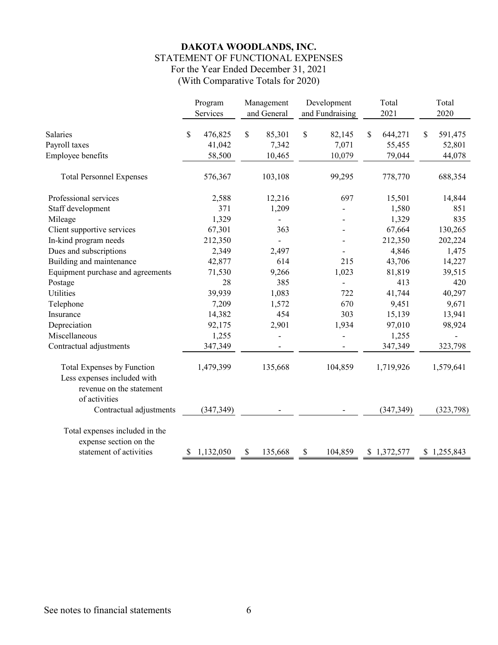## **DAKOTA WOODLANDS, INC.**  STATEMENT OF FUNCTIONAL EXPENSES For the Year Ended December 31, 2021 (With Comparative Totals for 2020)

|                                                                                       |    | Program<br>Services |    | Management<br>and General | Development<br>and Fundraising | Total<br>2021 | Total<br>2020 |
|---------------------------------------------------------------------------------------|----|---------------------|----|---------------------------|--------------------------------|---------------|---------------|
| Salaries                                                                              | \$ | 476,825             | \$ | 85,301                    | \$<br>82,145                   | \$<br>644,271 | \$<br>591,475 |
| Payroll taxes                                                                         |    | 41,042              |    | 7,342                     | 7,071                          | 55,455        | 52,801        |
| Employee benefits                                                                     |    | 58,500              |    | 10,465                    | 10,079                         | 79,044        | 44,078        |
| <b>Total Personnel Expenses</b>                                                       |    | 576,367             |    | 103,108                   | 99,295                         | 778,770       | 688,354       |
| Professional services                                                                 |    | 2,588               |    | 12,216                    | 697                            | 15,501        | 14,844        |
| Staff development                                                                     |    | 371                 |    | 1,209                     |                                | 1,580         | 851           |
| Mileage                                                                               |    | 1,329               |    |                           |                                | 1,329         | 835           |
| Client supportive services                                                            |    | 67,301              |    | 363                       |                                | 67,664        | 130,265       |
| In-kind program needs                                                                 |    | 212,350             |    | $\overline{\phantom{0}}$  |                                | 212,350       | 202,224       |
| Dues and subscriptions                                                                |    | 2,349               |    | 2,497                     |                                | 4,846         | 1,475         |
| Building and maintenance                                                              |    | 42,877              |    | 614                       | 215                            | 43,706        | 14,227        |
| Equipment purchase and agreements                                                     |    | 71,530              |    | 9,266                     | 1,023                          | 81,819        | 39,515        |
| Postage                                                                               |    | 28                  |    | 385                       |                                | 413           | 420           |
| Utilities                                                                             |    | 39,939              |    | 1,083                     | 722                            | 41,744        | 40,297        |
| Telephone                                                                             |    | 7,209               |    | 1,572                     | 670                            | 9,451         | 9,671         |
| Insurance                                                                             |    | 14,382              |    | 454                       | 303                            | 15,139        | 13,941        |
| Depreciation                                                                          |    | 92,175              |    | 2,901                     | 1,934                          | 97,010        | 98,924        |
| Miscellaneous                                                                         |    | 1,255               |    |                           |                                | 1,255         |               |
| Contractual adjustments                                                               |    | 347,349             |    |                           |                                | 347,349       | 323,798       |
| Total Expenses by Function<br>Less expenses included with<br>revenue on the statement |    | 1,479,399           |    | 135,668                   | 104,859                        | 1,719,926     | 1,579,641     |
| of activities                                                                         |    |                     |    |                           |                                |               |               |
| Contractual adjustments                                                               |    | (347, 349)          |    |                           |                                | (347, 349)    | (323,798)     |
| Total expenses included in the<br>expense section on the                              |    |                     |    |                           |                                |               |               |
| statement of activities                                                               | S. | 1,132,050           | S  | 135,668                   | \$<br>104,859                  | \$1,372,577   | \$1,255,843   |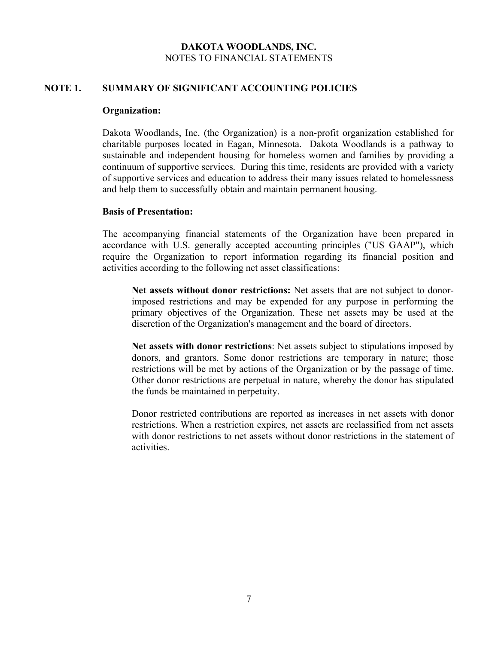## **NOTE 1. SUMMARY OF SIGNIFICANT ACCOUNTING POLICIES**

#### **Organization:**

Dakota Woodlands, Inc. (the Organization) is a non-profit organization established for charitable purposes located in Eagan, Minnesota. Dakota Woodlands is a pathway to sustainable and independent housing for homeless women and families by providing a continuum of supportive services. During this time, residents are provided with a variety of supportive services and education to address their many issues related to homelessness and help them to successfully obtain and maintain permanent housing.

### **Basis of Presentation:**

The accompanying financial statements of the Organization have been prepared in accordance with U.S. generally accepted accounting principles ("US GAAP"), which require the Organization to report information regarding its financial position and activities according to the following net asset classifications:

**Net assets without donor restrictions:** Net assets that are not subject to donorimposed restrictions and may be expended for any purpose in performing the primary objectives of the Organization. These net assets may be used at the discretion of the Organization's management and the board of directors.

**Net assets with donor restrictions**: Net assets subject to stipulations imposed by donors, and grantors. Some donor restrictions are temporary in nature; those restrictions will be met by actions of the Organization or by the passage of time. Other donor restrictions are perpetual in nature, whereby the donor has stipulated the funds be maintained in perpetuity.

Donor restricted contributions are reported as increases in net assets with donor restrictions. When a restriction expires, net assets are reclassified from net assets with donor restrictions to net assets without donor restrictions in the statement of activities.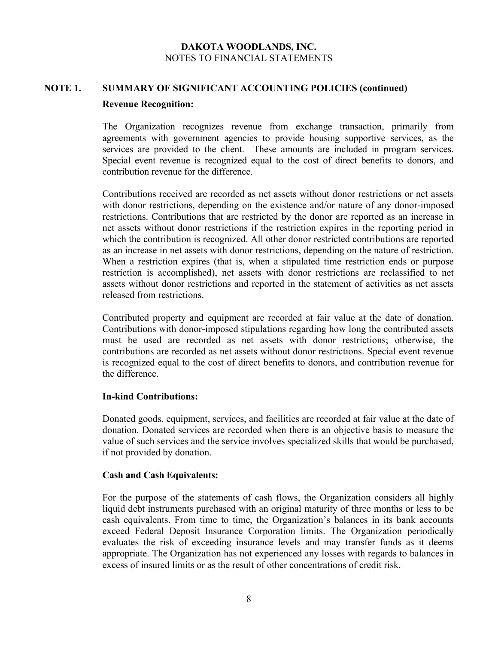## **NOTE 1. SUMMARY OF SIGNIFICANT ACCOUNTING POLICIES (continued)**

#### **Revenue Recognition:**

The Organization recognizes revenue from exchange transaction, primarily from agreements with government agencies to provide housing supportive services, as the services are provided to the client. These amounts are included in program services. Special event revenue is recognized equal to the cost of direct benefits to donors, and contribution revenue for the difference.

Contributions received are recorded as net assets without donor restrictions or net assets with donor restrictions, depending on the existence and/or nature of any donor-imposed restrictions. Contributions that are restricted by the donor are reported as an increase in net assets without donor restrictions if the restriction expires in the reporting period in which the contribution is recognized. All other donor restricted contributions are reported as an increase in net assets with donor restrictions, depending on the nature of restriction. When a restriction expires (that is, when a stipulated time restriction ends or purpose restriction is accomplished), net assets with donor restrictions are reclassified to net assets without donor restrictions and reported in the statement of activities as net assets released from restrictions.

Contributed property and equipment are recorded at fair value at the date of donation. Contributions with donor-imposed stipulations regarding how long the contributed assets must be used are recorded as net assets with donor restrictions; otherwise, the contributions are recorded as net assets without donor restrictions. Special event revenue is recognized equal to the cost of direct benefits to donors, and contribution revenue for the difference.

## **In-kind Contributions:**

Donated goods, equipment, services, and facilities are recorded at fair value at the date of donation. Donated services are recorded when there is an objective basis to measure the value of such services and the service involves specialized skills that would be purchased, if not provided by donation.

#### **Cash and Cash Equivalents:**

For the purpose of the statements of cash flows, the Organization considers all highly liquid debt instruments purchased with an original maturity of three months or less to be cash equivalents. From time to time, the Organization's balances in its bank accounts exceed Federal Deposit Insurance Corporation limits. The Organization periodically evaluates the risk of exceeding insurance levels and may transfer funds as it deems appropriate. The Organization has not experienced any losses with regards to balances in excess of insured limits or as the result of other concentrations of credit risk.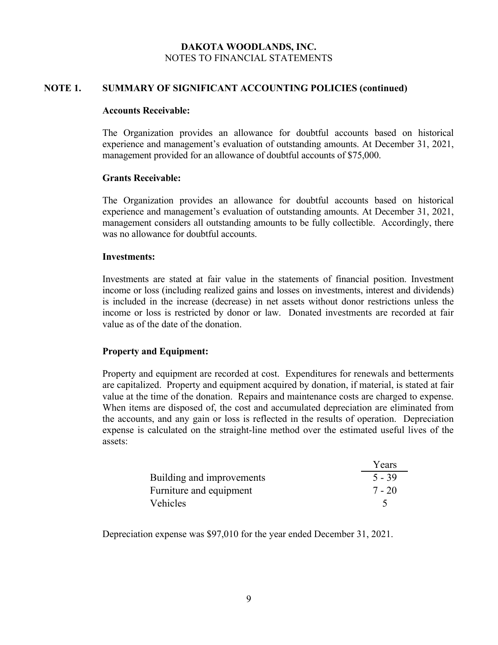#### **NOTE 1. SUMMARY OF SIGNIFICANT ACCOUNTING POLICIES (continued)**

#### **Accounts Receivable:**

The Organization provides an allowance for doubtful accounts based on historical experience and management's evaluation of outstanding amounts. At December 31, 2021, management provided for an allowance of doubtful accounts of \$75,000.

#### **Grants Receivable:**

The Organization provides an allowance for doubtful accounts based on historical experience and management's evaluation of outstanding amounts. At December 31, 2021, management considers all outstanding amounts to be fully collectible. Accordingly, there was no allowance for doubtful accounts.

#### **Investments:**

Investments are stated at fair value in the statements of financial position. Investment income or loss (including realized gains and losses on investments, interest and dividends) is included in the increase (decrease) in net assets without donor restrictions unless the income or loss is restricted by donor or law. Donated investments are recorded at fair value as of the date of the donation.

## **Property and Equipment:**

Property and equipment are recorded at cost. Expenditures for renewals and betterments are capitalized. Property and equipment acquired by donation, if material, is stated at fair value at the time of the donation. Repairs and maintenance costs are charged to expense. When items are disposed of, the cost and accumulated depreciation are eliminated from the accounts, and any gain or loss is reflected in the results of operation. Depreciation expense is calculated on the straight-line method over the estimated useful lives of the assets:

|                           | Years    |
|---------------------------|----------|
| Building and improvements | 5 - 39   |
| Furniture and equipment   | $7 - 20$ |
| Vehicles                  |          |

Depreciation expense was \$97,010 for the year ended December 31, 2021.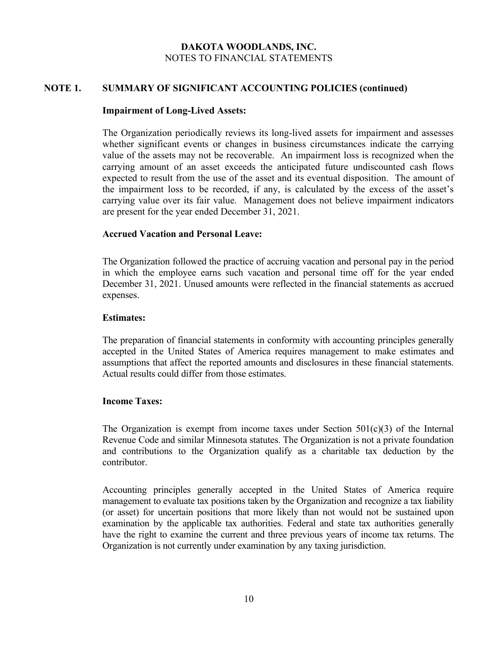### **NOTE 1. SUMMARY OF SIGNIFICANT ACCOUNTING POLICIES (continued)**

#### **Impairment of Long-Lived Assets:**

The Organization periodically reviews its long-lived assets for impairment and assesses whether significant events or changes in business circumstances indicate the carrying value of the assets may not be recoverable. An impairment loss is recognized when the carrying amount of an asset exceeds the anticipated future undiscounted cash flows expected to result from the use of the asset and its eventual disposition. The amount of the impairment loss to be recorded, if any, is calculated by the excess of the asset's carrying value over its fair value. Management does not believe impairment indicators are present for the year ended December 31, 2021.

#### **Accrued Vacation and Personal Leave:**

The Organization followed the practice of accruing vacation and personal pay in the period in which the employee earns such vacation and personal time off for the year ended December 31, 2021. Unused amounts were reflected in the financial statements as accrued expenses.

#### **Estimates:**

The preparation of financial statements in conformity with accounting principles generally accepted in the United States of America requires management to make estimates and assumptions that affect the reported amounts and disclosures in these financial statements. Actual results could differ from those estimates.

#### **Income Taxes:**

The Organization is exempt from income taxes under Section  $501(c)(3)$  of the Internal Revenue Code and similar Minnesota statutes. The Organization is not a private foundation and contributions to the Organization qualify as a charitable tax deduction by the contributor.

Accounting principles generally accepted in the United States of America require management to evaluate tax positions taken by the Organization and recognize a tax liability (or asset) for uncertain positions that more likely than not would not be sustained upon examination by the applicable tax authorities. Federal and state tax authorities generally have the right to examine the current and three previous years of income tax returns. The Organization is not currently under examination by any taxing jurisdiction.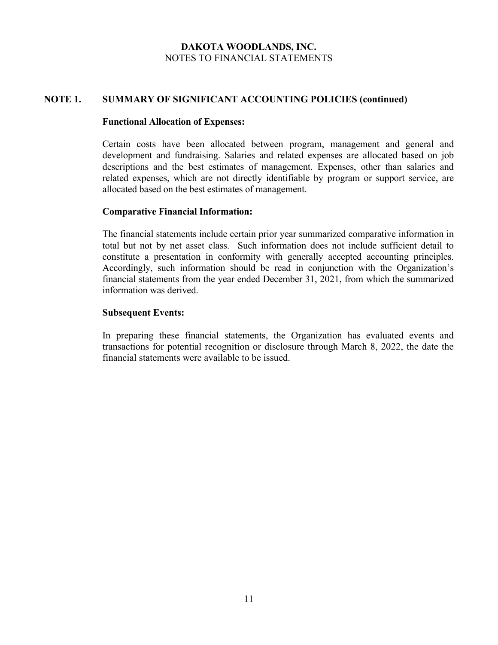## **NOTE 1. SUMMARY OF SIGNIFICANT ACCOUNTING POLICIES (continued)**

#### **Functional Allocation of Expenses:**

Certain costs have been allocated between program, management and general and development and fundraising. Salaries and related expenses are allocated based on job descriptions and the best estimates of management. Expenses, other than salaries and related expenses, which are not directly identifiable by program or support service, are allocated based on the best estimates of management.

### **Comparative Financial Information:**

The financial statements include certain prior year summarized comparative information in total but not by net asset class. Such information does not include sufficient detail to constitute a presentation in conformity with generally accepted accounting principles. Accordingly, such information should be read in conjunction with the Organization's financial statements from the year ended December 31, 2021, from which the summarized information was derived.

### **Subsequent Events:**

In preparing these financial statements, the Organization has evaluated events and transactions for potential recognition or disclosure through March 8, 2022, the date the financial statements were available to be issued.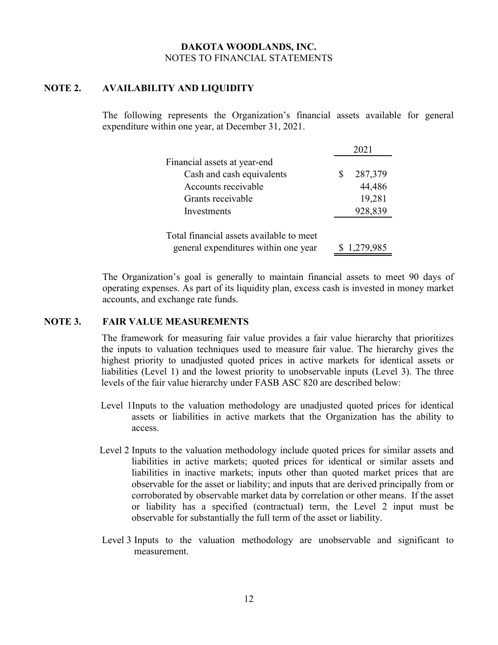## **NOTE 2. AVAILABILITY AND LIQUIDITY**

The following represents the Organization's financial assets available for general expenditure within one year, at December 31, 2021.

2021

| Financial assets at year-end             |             |
|------------------------------------------|-------------|
| Cash and cash equivalents                | 287,379     |
| Accounts receivable                      | 44,486      |
| Grants receivable                        | 19,281      |
| Investments                              | 928,839     |
| Total financial assets available to meet |             |
| general expenditures within one year     | \$1,279,985 |

The Organization's goal is generally to maintain financial assets to meet 90 days of operating expenses. As part of its liquidity plan, excess cash is invested in money market accounts, and exchange rate funds.

#### **NOTE 3. FAIR VALUE MEASUREMENTS**

The framework for measuring fair value provides a fair value hierarchy that prioritizes the inputs to valuation techniques used to measure fair value. The hierarchy gives the highest priority to unadjusted quoted prices in active markets for identical assets or liabilities (Level 1) and the lowest priority to unobservable inputs (Level 3). The three levels of the fair value hierarchy under FASB ASC 820 are described below:

- Level 1Inputs to the valuation methodology are unadjusted quoted prices for identical assets or liabilities in active markets that the Organization has the ability to access.
- Level 2 Inputs to the valuation methodology include quoted prices for similar assets and liabilities in active markets; quoted prices for identical or similar assets and liabilities in inactive markets; inputs other than quoted market prices that are observable for the asset or liability; and inputs that are derived principally from or corroborated by observable market data by correlation or other means. If the asset or liability has a specified (contractual) term, the Level 2 input must be observable for substantially the full term of the asset or liability.
- Level 3 Inputs to the valuation methodology are unobservable and significant to measurement.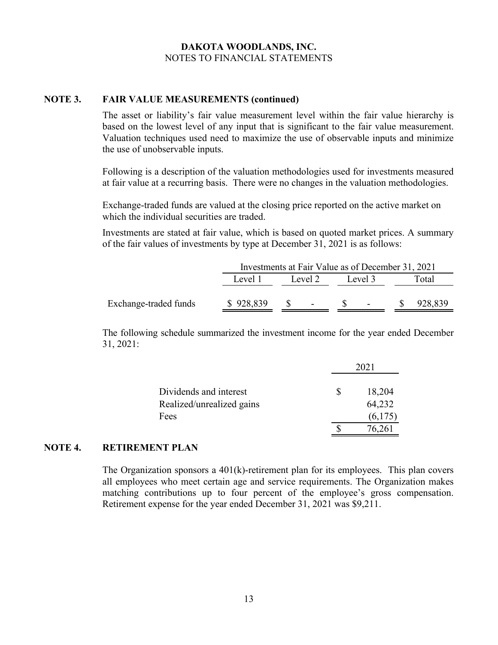#### **NOTE 3. FAIR VALUE MEASUREMENTS (continued)**

The asset or liability's fair value measurement level within the fair value hierarchy is based on the lowest level of any input that is significant to the fair value measurement. Valuation techniques used need to maximize the use of observable inputs and minimize the use of unobservable inputs.

Following is a description of the valuation methodologies used for investments measured at fair value at a recurring basis. There were no changes in the valuation methodologies.

Exchange-traded funds are valued at the closing price reported on the active market on which the individual securities are traded.

Investments are stated at fair value, which is based on quoted market prices. A summary of the fair values of investments by type at December 31, 2021 is as follows:

|                       |           | Investments at Fair Value as of December 31, 2021 |                |         |  |  |  |
|-----------------------|-----------|---------------------------------------------------|----------------|---------|--|--|--|
|                       | Level 1   | Level 2                                           | Level 3        | Total   |  |  |  |
|                       |           |                                                   |                |         |  |  |  |
| Exchange-traded funds | \$928,839 | $\overline{a}$                                    | $\blacksquare$ | 928,839 |  |  |  |

The following schedule summarized the investment income for the year ended December 31, 2021:

|                           |   | 2021    |  |  |
|---------------------------|---|---------|--|--|
| Dividends and interest    | S | 18,204  |  |  |
| Realized/unrealized gains |   | 64,232  |  |  |
| Fees                      |   | (6,175) |  |  |
|                           |   | 76,261  |  |  |

#### **NOTE 4. RETIREMENT PLAN**

The Organization sponsors a 401(k)-retirement plan for its employees. This plan covers all employees who meet certain age and service requirements. The Organization makes matching contributions up to four percent of the employee's gross compensation. Retirement expense for the year ended December 31, 2021 was \$9,211.